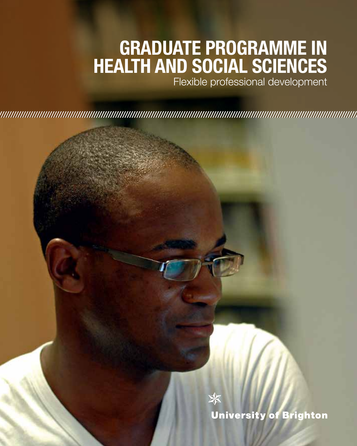### **Graduate Programme in HEALTH AND SOCIAL SCIENCE**

Flexible professional development

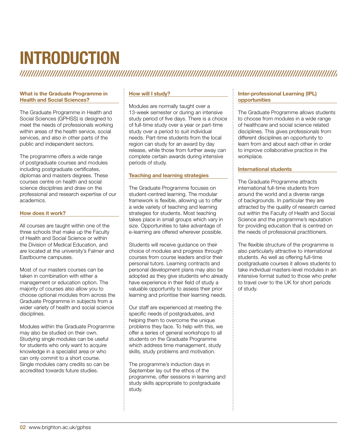## **Introduction**

#### What is the Graduate Programme in Health and Social Sciences?

The Graduate Programme in Health and Social Sciences (GPHSS) is designed to meet the needs of professionals working within areas of the health service, social services, and also in other parts of the public and independent sectors.

The programme offers a wide range of postgraduate courses and modules including postgraduate certificates, diplomas and masters degrees. These courses centre on health and social science disciplines and draw on the professional and research expertise of our academics.

#### How does it work?

All courses are taught within one of the three schools that make up the Faculty of Health and Social Science or within the Division of Medical Education, and are located at the university's Falmer and Eastbourne campuses.

Most of our masters courses can be taken in combination with either a management or education option. The majority of courses also allow you to choose optional modules from across the Graduate Programme in subjects from a wider variety of health and social science disciplines.

Modules within the Graduate Programme may also be studied on their own. Studying single modules can be useful for students who only want to acquire knowledge in a specialist area or who can only commit to a short course. Single modules carry credits so can be accredited towards future studies.

#### How will I study?

Modules are normally taught over a 13-week semester or during an intensive study period of five days. There is a choice of full-time study over a year or part-time study over a period to suit individual needs. Part-time students from the local region can study for an award by day release, while those from further away can complete certain awards during intensive periods of study.

#### Teaching and learning strategies

The Graduate Programme focuses on student-centred learning. The modular framework is flexible, allowing us to offer a wide variety of teaching and learning strategies for students. Most teaching takes place in small groups which vary in size. Opportunities to take advantage of e-learning are offered wherever possible.

Students will receive guidance on their choice of modules and progress through courses from course leaders and/or their personal tutors. Learning contracts and personal development plans may also be adopted as they give students who already have experience in their field of study a valuable opportunity to assess their prior learning and prioritise their learning needs.

Our staff are experienced at meeting the specific needs of postgraduates, and helping them to overcome the unique problems they face. To help with this, we offer a series of general workshops to all students on the Graduate Programme which address time management, study skills, study problems and motivation.

The programme's induction days in September lay out the ethos of the programme, offer sessions in learning and study skills appropriate to postgraduate study.

#### Inter-professional Learning (IPL) opportunities

The Graduate Programme allows students to choose from modules in a wide range of healthcare and social science related disciplines. This gives professionals from different disciplines an opportunity to learn from and about each other in order to improve collaborative practice in the workplace.

#### International students

The Graduate Programme attracts international full-time students from around the world and a diverse range of backgrounds. In particular they are attracted by the quality of research carried out within the Faculty of Health and Social Science and the programme's reputation for providing education that is centred on the needs of professional practitioners.

The flexible structure of the programme is also particularly attractive to international students. As well as offering full-time postgraduate courses it allows students to take individual masters-level modules in an intensive format suited to those who prefer to travel over to the UK for short periods of study.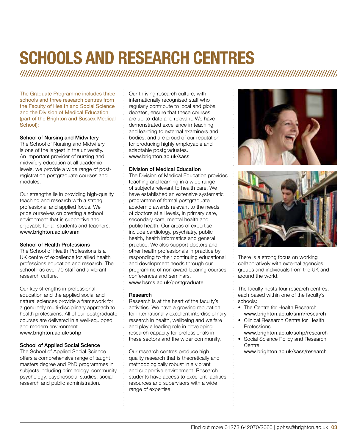### **Schools and research centres**

The Graduate Programme includes three schools and three research centres from the Faculty of Health and Social Science and the Division of Medical Education (part of the Brighton and Sussex Medical School):

#### School of Nursing and Midwifery

The School of Nursing and Midwifery is one of the largest in the university. An important provider of nursing and midwifery education at all academic levels, we provide a wide range of postregistration postgraduate courses and modules.

Our strengths lie in providing high-quality teaching and research with a strong professional and applied focus. We pride ourselves on creating a school environment that is supportive and enjoyable for all students and teachers. www.brighton.ac.uk/snm

#### School of Health Professions

The School of Health Professions is a UK centre of excellence for allied health professions education and research. The school has over 70 staff and a vibrant research culture.

Our key strengths in professional education and the applied social and natural sciences provide a framework for a genuinely multi-disciplinary approach to health professions. All of our postgraduate courses are delivered in a well-equipped and modern environment. www.brighton.ac.uk/sohp

#### School of Applied Social Science

The School of Applied Social Science offers a comprehensive range of taught masters degree and PhD programmes in subjects including criminology, community psychology, psychosocial studies, social research and public administration.

Our thriving research culture, with internationally recognised staff who regularly contribute to local and global debates, ensure that these courses are up-to-date and relevant. We have demonstrated excellence in teaching and learning to external examiners and bodies, and are proud of our reputation for producing highly employable and adaptable postgraduates. www.brighton.ac.uk/sass

#### Division of Medical Education

The Division of Medical Education provides teaching and learning in a wide range of subjects relevant to health care. We have established an extensive systematic programme of formal postgraduate academic awards relevant to the needs of doctors at all levels, in primary care, secondary care, mental health and public health. Our areas of expertise include cardiology, psychiatry, public health, health informatics and general practice. We also support doctors and other health professionals in practice by responding to their continuing educational and development needs through our programme of non award-bearing courses, conferences and seminars. www.bsms.ac.uk/postgraduate

#### Research

Research is at the heart of the faculty's activities. We have a growing reputation for internationally excellent interdisciplinary research in health, wellbeing and welfare and play a leading role in developing research capacity for professionals in these sectors and the wider community.

Our research centres produce high quality research that is theoretically and methodologically robust in a vibrant and supportive environment. Research students have access to excellent facilities, resources and supervisors with a wide range of expertise.





There is a strong focus on working collaboratively with external agencies, groups and individuals from the UK and around the world.

The faculty hosts four research centres, each based within one of the faculty's schools:

- The Centre for Health Research www.brighton.ac.uk/snm/research
- Clinical Research Centre for Health Professions
- www.brighton.ac.uk/sohp/research • Social Science Policy and Research **Centre** 
	- www.brighton.ac.uk/sass/research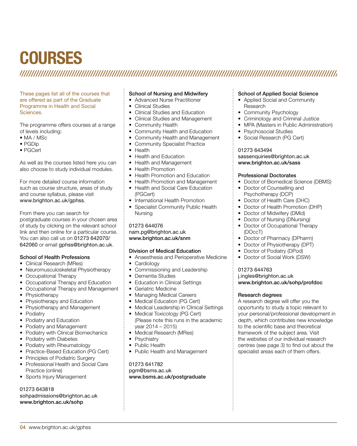### **Courses**

These pages list all of the courses that are offered as part of the Graduate Programme in Health and Social Sciences.

The programme offers courses at a range of levels including:

- MA / MSc
- PGDip
- PGCert

As well as the courses listed here you can also choose to study individual modules.

For more detailed course information such as course structure, areas of study and course syllabus, please visit www.brighton.ac.uk/gphss.

From there you can search for postgraduate courses in your chosen area of study by clicking on the relevant school link and then online for a particular course. You can also call us on 01273 642070/ 642060 or email gphss@brighton.ac.uk.

#### School of Health Professions

- Clinical Research (MRes)
- Neuromusculoskeletal Physiotherapy
- Occupational Therapy
- Occupational Therapy and Education
- Occupational Therapy and Management
- **Physiotherapy**
- Physiotherapy and Education
- Physiotherapy and Management
- Podiatry
- Podiatry and Education
- Podiatry and Management
- Podiatry with Clinical Biomechanics
- Podiatry with Diabetes
- Podiatry with Rheumatology
- Practice-Based Education (PG Cert)
- Principles of Podiatric Surgery
- Professional Health and Social Care Practice (online)
- Sports Injury Management

#### 01273 643818

sohpadmissions@brighton.ac.uk www.brighton.ac.uk/sohp

#### School of Nursing and Midwifery

- Advanced Nurse Practitioner
- Clinical Studies
- Clinical Studies and Education
- Clinical Studies and Management
- Community Health
- Community Health and Education
- Community Health and Management
- Community Specialist Practice
- Health
- Health and Education
- Health and Management
- Health Promotion
- Health Promotion and Education
- Health Promotion and Management
- Health and Social Care Education (PGCert)
- International Health Promotion
- Specialist Community Public Health Nursing

#### 01273 644076 nam.pg@brighton.ac.uk www.brighton.ac.uk/snm

#### Division of Medical Education

• Anaesthesia and Perioperative Medicine

- Cardiology
- Commissioning and Leadership
- Dementia Studies
- Education in Clinical Settings
- Geriatric Medicine
- Managing Medical Careers
- Medical Education (PG Cert)
- Medical Leadership in Clinical Settings
- Medical Toxicology (PG Cert) (Please note this runs in the academic year 2014 – 2015)
- Medical Research (MRes)
- Psychiatry
- Public Health
- Public Health and Management

01273 641782 pgm@bsms.ac.uk www.bsms.ac.uk/postgraduate

#### School of Applied Social Science

- Applied Social and Community Research
- Community Psychology
- Criminology and Criminal Justice
- MPA (Masters in Public Administration)
- Psychosocial Studies
- Social Research (PG Cert)

#### 01273 643494

#### sassenquiries@brighton.ac.uk www.brighton.ac.uk/sass

#### Professional Doctorates

- Doctor of Biomedical Science (DBMS)
- Doctor of Counselling and Psychotherapy (DCP)
- Doctor of Health Care (DHC)
- Doctor of Health Promotion (DHP)
- Doctor of Midwifery (DMid)
- Doctor of Nursing (DNursing)
- Doctor of Occupational Therapy (DOccT)
- Doctor of Pharmacy (DPharm)
- Doctor of Physiotherapy (DPT)
- Doctor of Podiatry (DPod)
- Doctor of Social Work (DSW)

#### 01273 644763

#### j.ingles@brighton.ac.uk www.brighton.ac.uk/sohp/profdoc

#### Research degrees

A research degree will offer you the opportunity to study a topic relevant to your personal/professional development in depth, which contributes new knowledge to the scientific base and theoretical framework of the subject area. Visit the websites of our individual research centres (see page 3) to find out about the specialist areas each of them offers.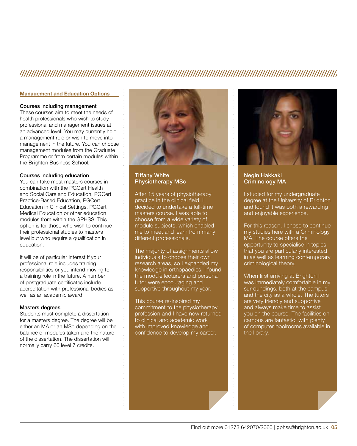### 

#### Management and Education Options

#### Courses including management

These courses aim to meet the needs of health professionals who wish to study professional and management issues at an advanced level. You may currently hold a management role or wish to move into management in the future. You can choose management modules from the Graduate Programme or from certain modules within the Brighton Business School.

#### Courses including education

You can take most masters courses in combination with the PGCert Health and Social Care and Education, PGCert Practice-Based Education, PGCert Education in Clinical Settings, PGCert Medical Education or other education modules from within the GPHSS. This option is for those who wish to continue their professional studies to masters level but who require a qualification in education.

It will be of particular interest if your professional role includes training responsibilities or you intend moving to a training role in the future. A number of postgraduate certificates include accreditation with professional bodies as well as an academic award.

#### Masters degrees

Students must complete a dissertation for a masters degree. The degree will be either an MA or an MSc depending on the balance of modules taken and the nature of the dissertation. The dissertation will normally carry 60 level 7 credits.



Tiffany White Physiotherapy MSc

After 15 years of physiotherapy practice in the clinical field, I decided to undertake a full-time masters course. I was able to choose from a wide variety of module subjects, which enabled me to meet and learn from many different professionals.

The majority of assignments allow individuals to choose their own research areas, so I expanded my knowledge in orthopaedics. I found the module lecturers and personal tutor were encouraging and supportive throughout my year.

This course re-inspired my commitment to the physiotherapy profession and I have now returned to clinical and academic work with improved knowledge and confidence to develop my career.



Negin Hakkaki Criminology MA

I studied for my undergraduate degree at the University of Brighton and found it was both a rewarding and enjoyable experience.

For this reason, I chose to continue my studies here with a Criminology MA. The course offers the opportunity to specialise in topics that you are particularly interested in as well as learning contemporary criminological theory.

When first arriving at Brighton I was immediately comfortable in my surroundings, both at the campus and the city as a whole. The tutors are very friendly and supportive and always make time to assist you on the course. The facilities on campus are fantastic, with plenty of computer poolrooms available in the library.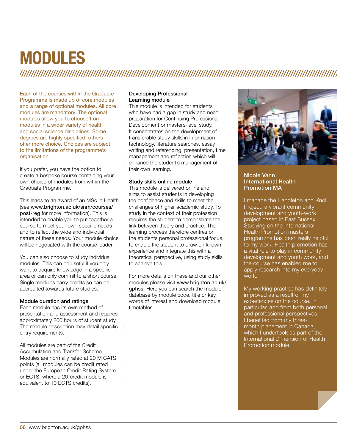### **Modules**

Each of the courses within the Graduate Programme is made up of core modules and a range of optional modules. All core modules are mandatory. The optional modules allow you to choose from modules in a wider variety of health and social science disciplines. Some degrees are highly specified; others offer more choice. Choices are subject to the limitations of the programme's organisation.

If you prefer, you have the option to create a bespoke course containing your own choice of modules from within the Graduate Programme.

This leads to an award of an MSc in Health (see www.brighton.ac.uk/snm/courses/ post-reg for more information). This is intended to enable you to put together a course to meet your own specific needs and to reflect the wide and individual nature of these needs. Your module choice will be negotiated with the course leader.

You can also choose to study individual modules. This can be useful if you only want to acquire knowledge in a specific area or can only commit to a short course. Single modules carry credits so can be accredited towards future studies.

#### Module duration and ratings

Each module has its own method of presentation and assessment and requires approximately 200 hours of student study. The module description may detail specific entry requirements.

All modules are part of the Credit Accumulation and Transfer Scheme. Modules are normally rated at 20 M CATS points (all modules can be credit rated under the European Credit Rating System or ECTS, where a 20-credit module is equivalent to 10 ECTS credits).

#### Developing Professional Learning module

This module is intended for students who have had a gap in study and need preparation for Continuing Professional Development or masters-level study. It concentrates on the development of transferable study skills in information technology, literature searches, essay writing and referencing, presentation, time management and reflection which will enhance the student's management of their own learning.

#### Study skills online module

This module is delivered online and aims to assist students in developing the confidence and skills to meet the challenges of higher academic study. To study in the context of their profession requires the student to demonstrate the link between theory and practice. The learning process therefore centres on the students personal professional focus to enable the student to draw on known experience and integrate this with a theoretical perspective, using study skills to achieve this.

For more details on these and our other modules please visit www.brighton.ac.uk/ gphss. Here you can search the module database by module code, title or key words of interest and download module timetables.



#### Nicole Vann International Health Promotion MA

I manage the Hangleton and Knoll Project, a vibrant community development and youth-work project based in East Sussex. Studying on the International **Health Promotion masters** programme has been really helpful to my work. Health promotion has a vital role to play in community development and youth work, and the course has enabled me to apply research into my everyday work.

My working practice has definitely improved as a result of my experiences on the course. In particular, and from both personal and professional perspectives, I benefited from my threemonth placement in Canada, which I undertook as part of the International Dimension of Health Promotion module.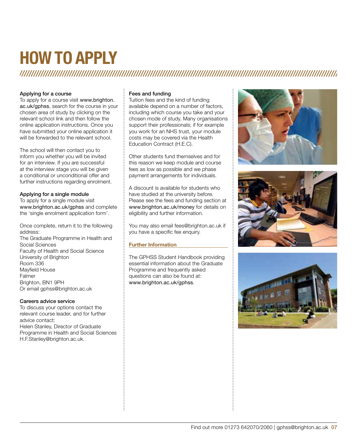# **How to apply**

#### Applying for a course

To apply for a course visit www.brighton. ac.uk/gphss, search for the course in your chosen area of study by clicking on the relevant school link and then follow the online application instructions. Once you have submitted your online application it will be forwarded to the relevant school.

The school will then contact you to inform you whether you will be invited for an interview. If you are successful at the interview stage you will be given a conditional or unconditional offer and further instructions regarding enrolment.

#### Applying for a single module

To apply for a single module visit www.brighton.ac.uk/gphss and complete the 'single enrolment application form'.

Once complete, return it to the following address: The Graduate Programme in Health and Social Sciences Faculty of Health and Social Science University of Brighton Room 336 Mayfield House Falmer Brighton, BN1 9PH Or email gphss@brighton.ac.uk

#### Careers advice service

To discuss your options contact the relevant course leader, and for further advice contact: Helen Stanley, Director of Graduate Programme in Health and Social Sciences H.F.Stanley@brighton.ac.uk.

#### Fees and funding

Tuition fees and the kind of funding available depend on a number of factors, including which course you take and your chosen mode of study. Many organisations support their professionals; if for example you work for an NHS trust, your module costs may be covered via the Health Education Contract (H.E.C).

Other students fund themselves and for this reason we keep module and course fees as low as possible and we phase payment arrangements for individuals.

A discount is available for students who have studied at the university before. Please see the fees and funding section at www.brighton.ac.uk/money for details on eligibility and further information.

You may also email fees@brighton.ac.uk if you have a specific fee enquiry.

#### **Further Information**

The GPHSS Student Handbook providing essential information about the Graduate Programme and frequently asked questions can also be found at: www.brighton.ac.uk/gphss.